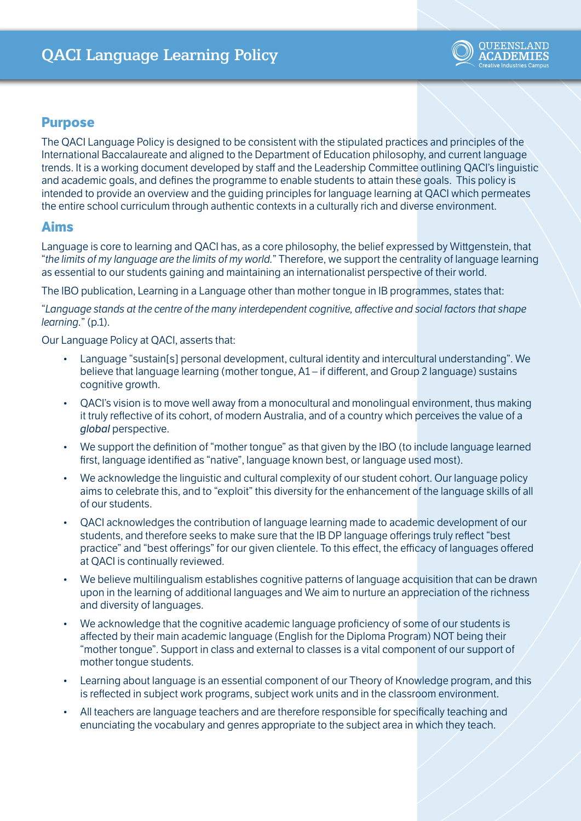

## **Purpose**

The QACI Language Policy is designed to be consistent with the stipulated practices and principles of the International Baccalaureate and aligned to the Department of Education philosophy, and current language trends. It is a working document developed by staff and the Leadership Committee outlining QACI's linguistic and academic goals, and defines the programme to enable students to attain these goals. This policy is intended to provide an overview and the guiding principles for language learning at QACI which permeates the entire school curriculum through authentic contexts in a culturally rich and diverse environment.

## **Aims**

Language is core to learning and QACI has, as a core philosophy, the belief expressed by Wittgenstein, that "*the limits of my language are the limits of my world.*" Therefore, we support the centrality of language learning as essential to our students gaining and maintaining an internationalist perspective of their world.

The IBO publication, Learning in a Language other than mother tongue in IB programmes, states that:

"*Language stands at the centre of the many interdependent cognitive, affective and social factors that shape learning.*" (p.1).

Our Language Policy at QACI, asserts that:

- Language "sustain[s] personal development, cultural identity and intercultural understanding". We believe that language learning (mother tongue, A1 – if different, and Group 2 language) sustains cognitive growth.
- QACI's vision is to move well away from a monocultural and monolingual environment, thus making it truly reflective of its cohort, of modern Australia, and of a country which perceives the value of a *global* perspective.
- We support the definition of "mother tongue" as that given by the IBO (to include language learned first, language identified as "native", language known best, or language used most).
- We acknowledge the linguistic and cultural complexity of our student cohort. Our language policy aims to celebrate this, and to "exploit" this diversity for the enhancement of the language skills of all of our students.
- QACI acknowledges the contribution of language learning made to academic development of our students, and therefore seeks to make sure that the IB DP language offerings truly reflect "best practice" and "best offerings" for our given clientele. To this effect, the efficacy of languages offered at QACI is continually reviewed.
- We believe multilingualism establishes cognitive patterns of language acquisition that can be drawn upon in the learning of additional languages and We aim to nurture an appreciation of the richness and diversity of languages.
- We acknowledge that the cognitive academic language proficiency of some of our students is affected by their main academic language (English for the Diploma Program) NOT being their "mother tongue". Support in class and external to classes is a vital component of our support of mother tongue students.
- Learning about language is an essential component of our Theory of Knowledge program, and this is reflected in subject work programs, subject work units and in the classroom environment.
- All teachers are language teachers and are therefore responsible for specifically teaching and enunciating the vocabulary and genres appropriate to the subject area in which they teach.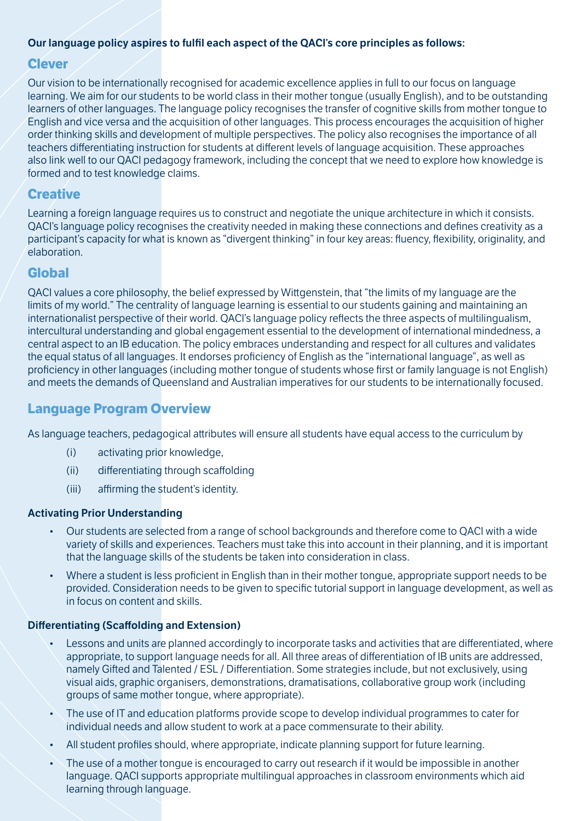## **Our language policy aspires to fulfil each aspect of the QACI's core principles as follows:**

## **Clever**

Our vision to be internationally recognised for academic excellence applies in full to our focus on language learning. We aim for our students to be world class in their mother tongue (usually English), and to be outstanding learners of other languages. The language policy recognises the transfer of cognitive skills from mother tongue to English and vice versa and the acquisition of other languages. This process encourages the acquisition of higher order thinking skills and development of multiple perspectives. The policy also recognises the importance of all teachers differentiating instruction for students at different levels of language acquisition. These approaches also link well to our QACI pedagogy framework, including the concept that we need to explore how knowledge is formed and to test knowledge claims.

# **Creative**

Learning a foreign language requires us to construct and negotiate the unique architecture in which it consists. QACI's language policy recognises the creativity needed in making these connections and defines creativity as a participant's capacity for what is known as "divergent thinking" in four key areas: fluency, flexibility, originality, and elaboration.

## **Global**

QACI values a core philosophy, the belief expressed by Wittgenstein, that "the limits of my language are the limits of my world." The centrality of language learning is essential to our students gaining and maintaining an internationalist perspective of their world. QACI's language policy reflects the three aspects of multilingualism, intercultural understanding and global engagement essential to the development of international mindedness, a central aspect to an IB education. The policy embraces understanding and respect for all cultures and validates the equal status of all languages. It endorses proficiency of English as the "international language", as well as proficiency in other languages (including mother tongue of students whose first or family language is not English) and meets the demands of Queensland and Australian imperatives for our students to be internationally focused.

# **Language Program Overview**

As language teachers, pedagogical attributes will ensure all students have equal access to the curriculum by

- (i) activating prior knowledge,
- (ii) differentiating through scaffolding
- (iii) affirming the student's identity.

### **Activating Prior Understanding**

- Our students are selected from a range of school backgrounds and therefore come to QACI with a wide variety of skills and experiences. Teachers must take this into account in their planning, and it is important that the language skills of the students be taken into consideration in class.
- Where a student is less proficient in English than in their mother tongue, appropriate support needs to be provided. Consideration needs to be given to specific tutorial support in language development, as well as in focus on content and skills.

### **Differentiating (Scaffolding and Extension)**

- Lessons and units are planned accordingly to incorporate tasks and activities that are differentiated, where appropriate, to support language needs for all. All three areas of differentiation of IB units are addressed, namely Gifted and Talented / ESL / Differentiation. Some strategies include, but not exclusively, using visual aids, graphic organisers, demonstrations, dramatisations, collaborative group work (including groups of same mother tongue, where appropriate).
- The use of IT and education platforms provide scope to develop individual programmes to cater for individual needs and allow student to work at a pace commensurate to their ability.
- All student profiles should, where appropriate, indicate planning support for future learning.
- The use of a mother tongue is encouraged to carry out research if it would be impossible in another language. QACI supports appropriate multilingual approaches in classroom environments which aid learning through language.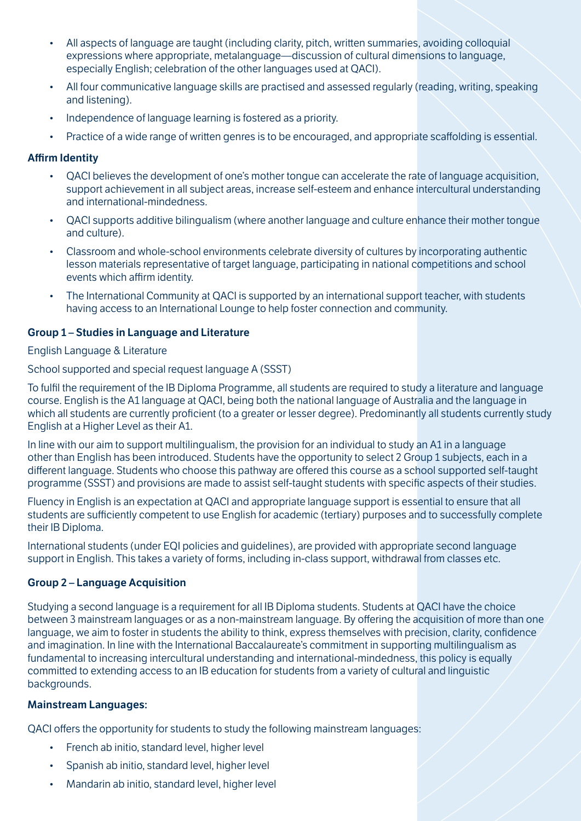- All aspects of language are taught (including clarity, pitch, written summaries, avoiding colloquial expressions where appropriate, metalanguage—discussion of cultural dimensions to language, especially English; celebration of the other languages used at QACI).
- All four communicative language skills are practised and assessed regularly (reading, writing, speaking and listening).
- Independence of language learning is fostered as a priority.
- Practice of a wide range of written genres is to be encouraged, and appropriate scaffolding is essential.

#### **Affirm Identity**

- QACI believes the development of one's mother tongue can accelerate the rate of language acquisition, support achievement in all subject areas, increase self-esteem and enhance intercultural understanding and international-mindedness.
- QACI supports additive bilingualism (where another language and culture enhance their mother tongue and culture).
- Classroom and whole-school environments celebrate diversity of cultures by incorporating authentic lesson materials representative of target language, participating in national competitions and school events which affirm identity.
- The International Community at QACI is supported by an international support teacher, with students having access to an International Lounge to help foster connection and community.

### **Group 1 – Studies in Language and Literature**

#### English Language & Literature

School supported and special request language A (SSST)

To fulfil the requirement of the IB Diploma Programme, all students are required to study a literature and language course. English is the A1 language at QACI, being both the national language of Australia and the language in which all students are currently proficient (to a greater or lesser degree). Predominantly all students currently study English at a Higher Level as their A1.

In line with our aim to support multilingualism, the provision for an individual to study an A1 in a language other than English has been introduced. Students have the opportunity to select 2 Group 1 subjects, each in a different language. Students who choose this pathway are offered this course as a school supported self-taught programme (SSST) and provisions are made to assist self-taught students with specific aspects of their studies.

Fluency in English is an expectation at QACI and appropriate language support is essential to ensure that all students are sufficiently competent to use English for academic (tertiary) purposes and to successfully complete their IB Diploma.

International students (under EQI policies and guidelines), are provided with appropriate second language support in English. This takes a variety of forms, including in-class support, withdrawal from classes etc.

### **Group 2 – Language Acquisition**

Studying a second language is a requirement for all IB Diploma students. Students at QACI have the choice between 3 mainstream languages or as a non-mainstream language. By offering the acquisition of more than one language, we aim to foster in students the ability to think, express themselves with precision, clarity, confidence and imagination. In line with the International Baccalaureate's commitment in supporting multilingualism as fundamental to increasing intercultural understanding and international-mindedness, this policy is equally committed to extending access to an IB education for students from a variety of cultural and linguistic backgrounds.

#### **Mainstream Languages:**

QACI offers the opportunity for students to study the following mainstream languages:

- French ab initio, standard level, higher level
- Spanish ab initio, standard level, higher level
- Mandarin ab initio, standard level, higher level